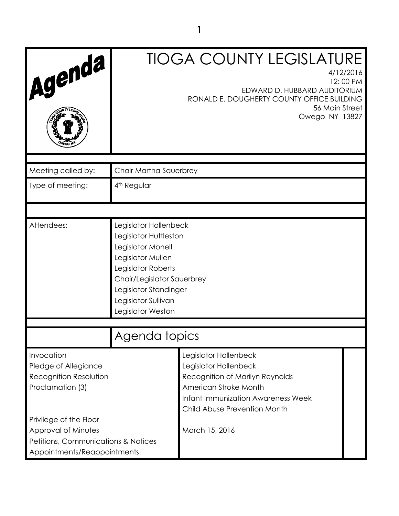| Agenda                                                                                                                                                                                                  | <b>TIOGA COUNTY LEGISLATURE</b><br>4/12/2016<br>12:00 PM<br>EDWARD D. HUBBARD AUDITORIUM<br>RONALD E. DOUGHERTY COUNTY OFFICE BUILDING<br>56 Main Street<br>Owego NY 13827                                        |  |  |
|---------------------------------------------------------------------------------------------------------------------------------------------------------------------------------------------------------|-------------------------------------------------------------------------------------------------------------------------------------------------------------------------------------------------------------------|--|--|
| Meeting called by:                                                                                                                                                                                      | Chair Martha Sauerbrey                                                                                                                                                                                            |  |  |
| Type of meeting:                                                                                                                                                                                        | 4 <sup>th</sup> Regular                                                                                                                                                                                           |  |  |
|                                                                                                                                                                                                         |                                                                                                                                                                                                                   |  |  |
| Attendees:                                                                                                                                                                                              | Legislator Hollenbeck<br>Legislator Huttleston<br>Legislator Monell<br>Legislator Mullen<br>Legislator Roberts<br>Chair/Legislator Sauerbrey<br>Legislator Standinger<br>Legislator Sullivan<br>Legislator Weston |  |  |
|                                                                                                                                                                                                         | Agenda topics                                                                                                                                                                                                     |  |  |
| Invocation<br>Pledge of Allegiance<br>Recognition Resolution<br>Proclamation (3)<br>Privilege of the Floor<br>Approval of Minutes<br>Petitions, Communications & Notices<br>Appointments/Reappointments | Legislator Hollenbeck<br>Legislator Hollenbeck<br>Recognition of Marilyn Reynolds<br>American Stroke Month<br><b>Infant Immunization Awareness Week</b><br>Child Abuse Prevention Month<br>March 15, 2016         |  |  |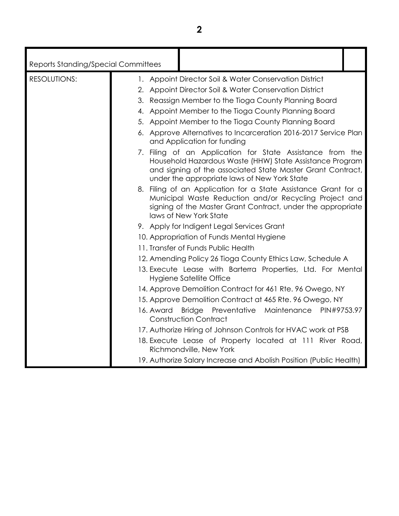| <b>Reports Standing/Special Committees</b> |                                                                                                                                                                                                                                     |
|--------------------------------------------|-------------------------------------------------------------------------------------------------------------------------------------------------------------------------------------------------------------------------------------|
| <b>RESOLUTIONS:</b>                        | 1. Appoint Director Soil & Water Conservation District                                                                                                                                                                              |
|                                            | 2. Appoint Director Soil & Water Conservation District                                                                                                                                                                              |
|                                            | 3. Reassign Member to the Tioga County Planning Board                                                                                                                                                                               |
|                                            | 4. Appoint Member to the Tioga County Planning Board                                                                                                                                                                                |
|                                            | 5. Appoint Member to the Tioga County Planning Board                                                                                                                                                                                |
|                                            | 6. Approve Alternatives to Incarceration 2016-2017 Service Plan<br>and Application for funding                                                                                                                                      |
|                                            | 7. Filing of an Application for State Assistance from the<br>Household Hazardous Waste (HHW) State Assistance Program<br>and signing of the associated State Master Grant Contract,<br>under the appropriate laws of New York State |
|                                            | 8. Filing of an Application for a State Assistance Grant for a<br>Municipal Waste Reduction and/or Recycling Project and<br>signing of the Master Grant Contract, under the appropriate<br>laws of New York State                   |
|                                            | 9. Apply for Indigent Legal Services Grant                                                                                                                                                                                          |
|                                            | 10. Appropriation of Funds Mental Hygiene                                                                                                                                                                                           |
|                                            | 11. Transfer of Funds Public Health                                                                                                                                                                                                 |
|                                            | 12. Amending Policy 26 Tioga County Ethics Law, Schedule A                                                                                                                                                                          |
|                                            | 13. Execute Lease with Barterra Properties, Ltd. For Mental<br>Hygiene Satellite Office                                                                                                                                             |
|                                            | 14. Approve Demolition Contract for 461 Rte. 96 Owego, NY                                                                                                                                                                           |
|                                            | 15. Approve Demolition Contract at 465 Rte. 96 Owego, NY                                                                                                                                                                            |
|                                            | Maintenance<br>16. Award<br><b>Bridge</b><br>Preventative<br>PIN#9753.97<br><b>Construction Contract</b>                                                                                                                            |
|                                            | 17. Authorize Hiring of Johnson Controls for HVAC work at PSB                                                                                                                                                                       |
|                                            | 18. Execute Lease of Property located at 111 River Road,<br>Richmondville, New York                                                                                                                                                 |
|                                            | 19. Authorize Salary Increase and Abolish Position (Public Health)                                                                                                                                                                  |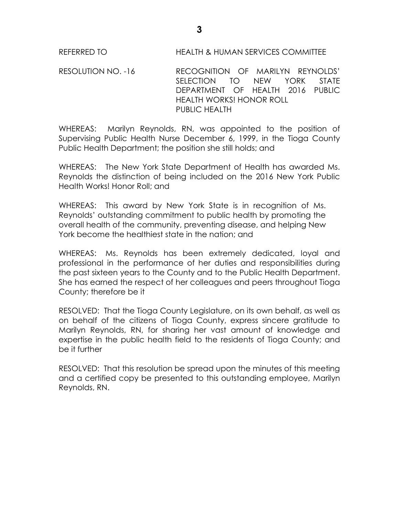REFERRED TO HEALTH & HUMAN SERVICES COMMITTEE

RESOLUTION NO. -16 RECOGNITION OF MARILYN REYNOLDS' SELECTION TO NEW YORK STATE DEPARTMENT OF HEALTH 2016 PUBLIC HEALTH WORKS! HONOR ROLL PUBLIC HEALTH

WHEREAS: Marilyn Reynolds, RN, was appointed to the position of Supervising Public Health Nurse December 6, 1999, in the Tioga County Public Health Department; the position she still holds; and

WHEREAS: The New York State Department of Health has awarded Ms. Reynolds the distinction of being included on the 2016 New York Public Health Works! Honor Roll; and

WHEREAS: This award by New York State is in recognition of Ms. Reynolds' outstanding commitment to public health by promoting the overall health of the community, preventing disease, and helping New York become the healthiest state in the nation; and

WHEREAS: Ms. Reynolds has been extremely dedicated, loyal and professional in the performance of her duties and responsibilities during the past sixteen years to the County and to the Public Health Department. She has earned the respect of her colleagues and peers throughout Tioga County; therefore be it

RESOLVED: That the Tioga County Legislature, on its own behalf, as well as on behalf of the citizens of Tioga County, express sincere gratitude to Marilyn Reynolds, RN, for sharing her vast amount of knowledge and expertise in the public health field to the residents of Tioga County; and be it further

RESOLVED: That this resolution be spread upon the minutes of this meeting and a certified copy be presented to this outstanding employee, Marilyn Reynolds, RN.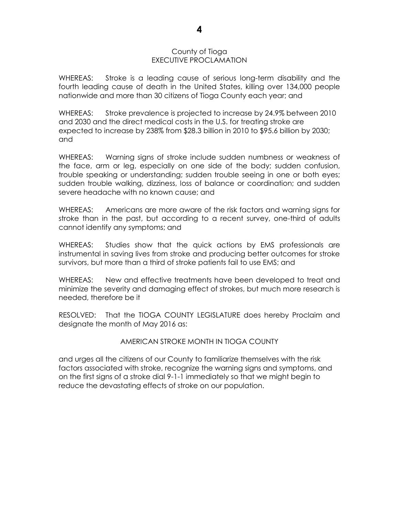### County of Tioga EXECUTIVE PROCLAMATION

WHEREAS: Stroke is a leading cause of serious long-term disability and the fourth leading cause of death in the United States, killing over 134,000 people nationwide and more than 30 citizens of Tioga County each year; and

WHEREAS: Stroke prevalence is projected to increase by 24.9% between 2010 and 2030 and the direct medical costs in the U.S. for treating stroke are expected to increase by 238% from \$28.3 billion in 2010 to \$95.6 billion by 2030; and

WHEREAS: Warning signs of stroke include sudden numbness or weakness of the face, arm or leg, especially on one side of the body; sudden confusion, trouble speaking or understanding; sudden trouble seeing in one or both eyes; sudden trouble walking, dizziness, loss of balance or coordination; and sudden severe headache with no known cause; and

WHEREAS: Americans are more aware of the risk factors and warning signs for stroke than in the past, but according to a recent survey, one-third of adults cannot identify any symptoms; and

WHEREAS: Studies show that the quick actions by EMS professionals are instrumental in saving lives from stroke and producing better outcomes for stroke survivors, but more than a third of stroke patients fail to use EMS; and

WHEREAS: New and effective treatments have been developed to treat and minimize the severity and damaging effect of strokes, but much more research is needed, therefore be it

RESOLVED: That the TIOGA COUNTY LEGISLATURE does hereby Proclaim and designate the month of May 2016 as:

### AMERICAN STROKE MONTH IN TIOGA COUNTY

and urges all the citizens of our County to familiarize themselves with the risk factors associated with stroke, recognize the warning signs and symptoms, and on the first signs of a stroke dial 9-1-1 immediately so that we might begin to reduce the devastating effects of stroke on our population.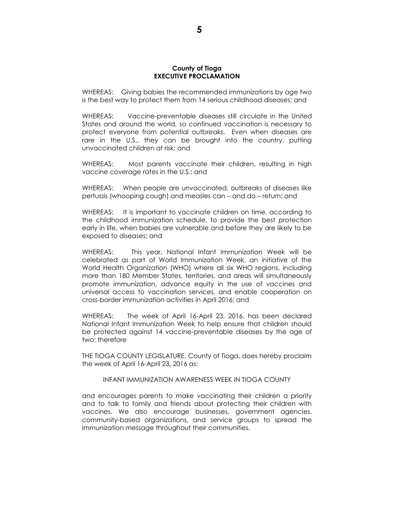#### **County of Tioga EXECUTIVE PROCLAMATION**

WHEREAS: Giving babies the recommended immunizations by age two is the best way to protect them from 14 serious childhood diseases; and

WHEREAS: Vaccine-preventable diseases still circulate in the United States and around the world, so continued vaccination is necessary to protect everyone from potential outbreaks. Even when diseases are rare in the U.S., they can be brought into the country, putting unvaccinated children at risk; and

WHEREAS: Most parents vaccinate their children, resulting in high vaccine coverage rates in the U.S.; and

WHEREAS: When people are unvaccinated, outbreaks of diseases like pertussis (whooping cough) and measles can – and do – return; and

WHEREAS: It is important to vaccinate children on time, according to the childhood immunization schedule, to provide the best protection early in life, when babies are vulnerable and before they are likely to be exposed to diseases; and

WHEREAS: This year, National Infant Immunization Week will be celebrated as part of World Immunization Week, an initiative of the World Health Organization (WHO) where all six WHO regions, including more than 180 Member States, territories, and areas will simultaneously promote immunization, advance equity in the use of vaccines and universal access to vaccination services, and enable cooperation on cross-border immunization activities in April 2016; and

WHEREAS: The week of April 16-April 23, 2016, has been declared National Infant Immunization Week to help ensure that children should be protected against 14 vaccine-preventable diseases by the age of two; therefore

THE TIOGA COUNTY LEGISLATURE, County of Tioga, does hereby proclaim the week of April 16-April 23, 2016 as:

#### INFANT IMMUNIZATION AWARENESS WEEK IN TIOGA COUNTY

and encourages parents to make vaccinating their children a priority and to talk to family and friends about protecting their children with vaccines. We also encourage businesses, government agencies, community-based organizations, and service groups to spread the immunization message throughout their communities.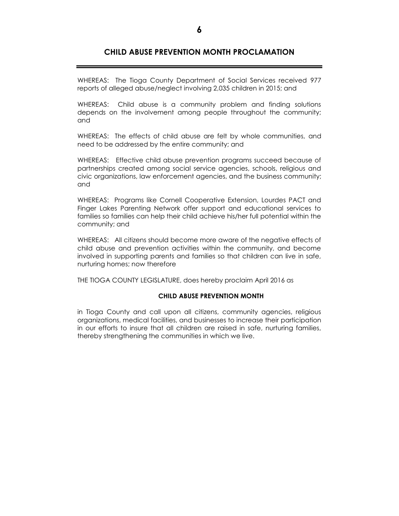### **CHILD ABUSE PREVENTION MONTH PROCLAMATION**

WHEREAS: The Tioga County Department of Social Services received 977 reports of alleged abuse/neglect involving 2,035 children in 2015; and

WHEREAS: Child abuse is a community problem and finding solutions depends on the involvement among people throughout the community; and

WHEREAS: The effects of child abuse are felt by whole communities, and need to be addressed by the entire community; and

WHEREAS: Effective child abuse prevention programs succeed because of partnerships created among social service agencies, schools, religious and civic organizations, law enforcement agencies, and the business community; and

WHEREAS: Programs like Cornell Cooperative Extension, Lourdes PACT and Finger Lakes Parenting Network offer support and educational services to families so families can help their child achieve his/her full potential within the community; and

WHEREAS: All citizens should become more aware of the negative effects of child abuse and prevention activities within the community, and become involved in supporting parents and families so that children can live in safe, nurturing homes; now therefore

THE TIOGA COUNTY LEGISLATURE, does hereby proclaim April 2016 as

#### **CHILD ABUSE PREVENTION MONTH**

in Tioga County and call upon all citizens, community agencies, religious organizations, medical facilities, and businesses to increase their participation in our efforts to insure that all children are raised in safe, nurturing families, thereby strengthening the communities in which we live.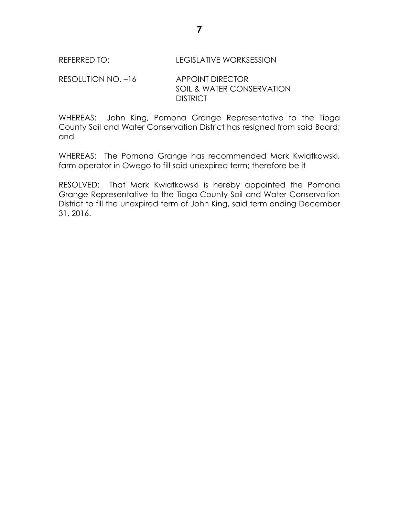## REFERRED TO: LEGISLATIVE WORKSESSION

RESOLUTION NO. -16 APPOINT DIRECTOR SOIL & WATER CONSERVATION **DISTRICT** 

WHEREAS: John King, Pomona Grange Representative to the Tioga County Soil and Water Conservation District has resigned from said Board; and

WHEREAS: The Pomona Grange has recommended Mark Kwiatkowski, farm operator in Owego to fill said unexpired term; therefore be it

RESOLVED: That Mark Kwiatkowski is hereby appointed the Pomona Grange Representative to the Tioga County Soil and Water Conservation District to fill the unexpired term of John King, said term ending December 31, 2016.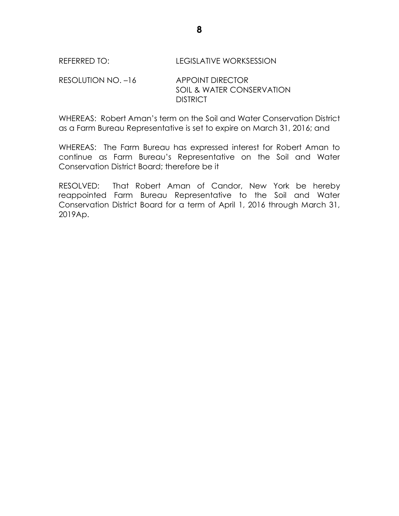## REFERRED TO: LEGISLATIVE WORKSESSION

## RESOLUTION NO. -16 APPOINT DIRECTOR SOIL & WATER CONSERVATION **DISTRICT**

WHEREAS: Robert Aman's term on the Soil and Water Conservation District as a Farm Bureau Representative is set to expire on March 31, 2016; and

WHEREAS: The Farm Bureau has expressed interest for Robert Aman to continue as Farm Bureau's Representative on the Soil and Water Conservation District Board; therefore be it

RESOLVED: That Robert Aman of Candor, New York be hereby reappointed Farm Bureau Representative to the Soil and Water Conservation District Board for a term of April 1, 2016 through March 31, 2019Ap.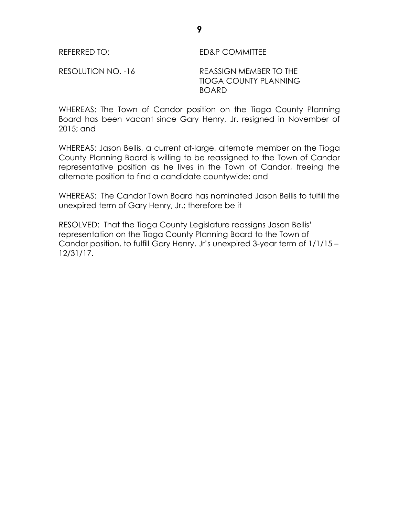REFERRED TO: ED&P COMMITTEE

RESOLUTION NO. -16 REASSIGN MEMBER TO THE TIOGA COUNTY PLANNING BOARD

WHEREAS: The Town of Candor position on the Tioga County Planning Board has been vacant since Gary Henry, Jr. resigned in November of 2015; and

WHEREAS: Jason Bellis, a current at-large, alternate member on the Tioga County Planning Board is willing to be reassigned to the Town of Candor representative position as he lives in the Town of Candor, freeing the alternate position to find a candidate countywide; and

WHEREAS: The Candor Town Board has nominated Jason Bellis to fulfill the unexpired term of Gary Henry, Jr.; therefore be it

RESOLVED: That the Tioga County Legislature reassigns Jason Bellis' representation on the Tioga County Planning Board to the Town of Candor position, to fulfill Gary Henry, Jr's unexpired 3-year term of 1/1/15 – 12/31/17.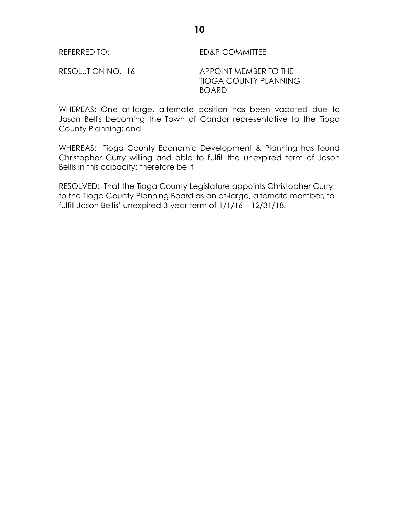REFERRED TO: ED&P COMMITTEE

RESOLUTION NO. -16 APPOINT MEMBER TO THE TIOGA COUNTY PLANNING BOARD

WHEREAS: One at-large, alternate position has been vacated due to Jason Bellis becoming the Town of Candor representative to the Tioga County Planning; and

WHEREAS: Tioga County Economic Development & Planning has found Christopher Curry willing and able to fulfill the unexpired term of Jason Bellis in this capacity; therefore be it

RESOLVED: That the Tioga County Legislature appoints Christopher Curry to the Tioga County Planning Board as an at-large, alternate member, to fulfill Jason Bellis' unexpired 3-year term of 1/1/16 – 12/31/18.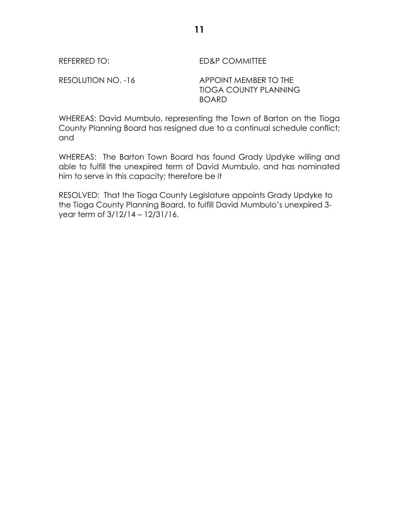REFERRED TO: ED&P COMMITTEE

RESOLUTION NO. -16 APPOINT MEMBER TO THE TIOGA COUNTY PLANNING BOARD

WHEREAS: David Mumbulo, representing the Town of Barton on the Tioga County Planning Board has resigned due to a continual schedule conflict; and

WHEREAS: The Barton Town Board has found Grady Updyke willing and able to fulfill the unexpired term of David Mumbulo, and has nominated him to serve in this capacity; therefore be it

RESOLVED: That the Tioga County Legislature appoints Grady Updyke to the Tioga County Planning Board, to fulfill David Mumbulo's unexpired 3 year term of 3/12/14 – 12/31/16.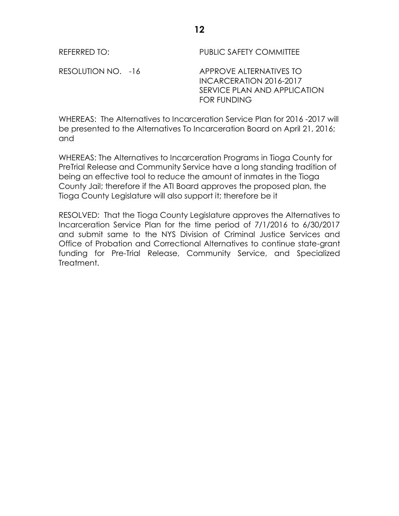REFERRED TO: PUBLIC SAFETY COMMITTEE

RESOLUTION NO. -16 APPROVE ALTERNATIVES TO INCARCERATION 2016-2017 SERVICE PLAN AND APPLICATION FOR FUNDING

WHEREAS: The Alternatives to Incarceration Service Plan for 2016 -2017 will be presented to the Alternatives To Incarceration Board on April 21, 2016; and

WHEREAS: The Alternatives to Incarceration Programs in Tioga County for PreTrial Release and Community Service have a long standing tradition of being an effective tool to reduce the amount of inmates in the Tioga County Jail; therefore if the ATI Board approves the proposed plan, the Tioga County Legislature will also support it; therefore be it

RESOLVED: That the Tioga County Legislature approves the Alternatives to Incarceration Service Plan for the time period of 7/1/2016 to 6/30/2017 and submit same to the NYS Division of Criminal Justice Services and Office of Probation and Correctional Alternatives to continue state-grant funding for Pre-Trial Release, Community Service, and Specialized Treatment.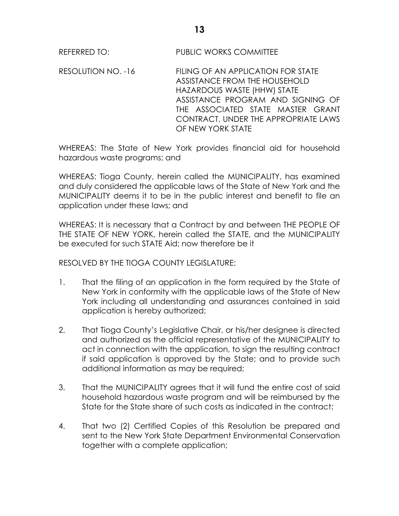REFERRED TO: PUBLIC WORKS COMMITTEE

RESOLUTION NO. -16 FILING OF AN APPLICATION FOR STATE ASSISTANCE FROM THE HOUSEHOLD HAZARDOUS WASTE (HHW) STATE ASSISTANCE PROGRAM AND SIGNING OF THE ASSOCIATED STATE MASTER GRANT CONTRACT, UNDER THE APPROPRIATE LAWS OF NEW YORK STATE

WHEREAS: The State of New York provides financial aid for household hazardous waste programs; and

WHEREAS: Tioga County, herein called the MUNICIPALITY, has examined and duly considered the applicable laws of the State of New York and the MUNICIPALITY deems it to be in the public interest and benefit to file an application under these laws; and

WHEREAS: It is necessary that a Contract by and between THE PEOPLE OF THE STATE OF NEW YORK, herein called the STATE, and the MUNICIPALITY be executed for such STATE Aid; now therefore be it

RESOLVED BY THE TIOGA COUNTY LEGISLATURE:

- 1. That the filing of an application in the form required by the State of New York in conformity with the applicable laws of the State of New York including all understanding and assurances contained in said application is hereby authorized;
- 2. That Tioga County's Legislative Chair, or his/her designee is directed and authorized as the official representative of the MUNICIPALITY to act in connection with the application, to sign the resulting contract if said application is approved by the State; and to provide such additional information as may be required;
- 3. That the MUNICIPALITY agrees that it will fund the entire cost of said household hazardous waste program and will be reimbursed by the State for the State share of such costs as indicated in the contract;
- 4. That two (2) Certified Copies of this Resolution be prepared and sent to the New York State Department Environmental Conservation together with a complete application;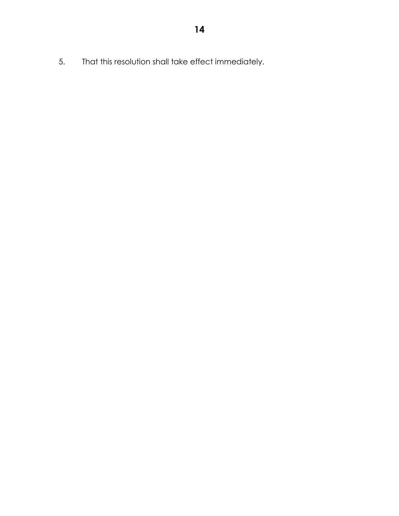5. That this resolution shall take effect immediately.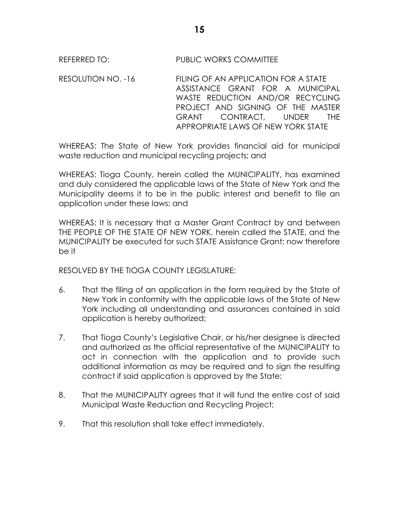# REFERRED TO: PUBLIC WORKS COMMITTEE

RESOLUTION NO. -16 FILING OF AN APPLICATION FOR A STATE ASSISTANCE GRANT FOR A MUNICIPAL WASTE REDUCTION AND/OR RECYCLING PROJECT AND SIGNING OF THE MASTER GRANT CONTRACT, UNDER THE APPROPRIATE LAWS OF NEW YORK STATE

WHEREAS: The State of New York provides financial aid for municipal waste reduction and municipal recycling projects; and

WHEREAS: Tioga County, herein called the MUNICIPALITY, has examined and duly considered the applicable laws of the State of New York and the Municipality deems it to be in the public interest and benefit to file an application under these laws; and

WHEREAS: It is necessary that a Master Grant Contract by and between THE PEOPLE OF THE STATE OF NEW YORK, herein called the STATE, and the MUNICIPALITY be executed for such STATE Assistance Grant; now therefore be it

RESOLVED BY THE TIOGA COUNTY LEGISLATURE:

- 6. That the filing of an application in the form required by the State of New York in conformity with the applicable laws of the State of New York including all understanding and assurances contained in said application is hereby authorized;
- 7. That Tioga County's Legislative Chair, or his/her designee is directed and authorized as the official representative of the MUNICIPALITY to act in connection with the application and to provide such additional information as may be required and to sign the resulting contract if said application is approved by the State;
- 8. That the MUNICIPALITY agrees that it will fund the entire cost of said Municipal Waste Reduction and Recycling Project;
- 9. That this resolution shall take effect immediately.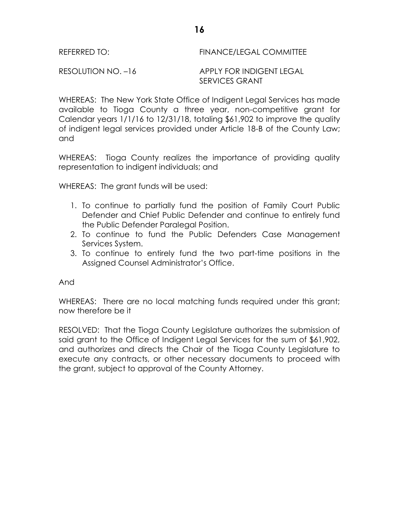WHEREAS: The New York State Office of Indigent Legal Services has made available to Tioga County a three year, non-competitive grant for Calendar years 1/1/16 to 12/31/18, totaling \$61,902 to improve the quality of indigent legal services provided under Article 18-B of the County Law; and

WHEREAS: Tioga County realizes the importance of providing quality representation to indigent individuals; and

WHEREAS: The grant funds will be used:

- 1. To continue to partially fund the position of Family Court Public Defender and Chief Public Defender and continue to entirely fund the Public Defender Paralegal Position.
- 2. To continue to fund the Public Defenders Case Management Services System.
- 3. To continue to entirely fund the two part-time positions in the Assigned Counsel Administrator's Office.

And

WHEREAS: There are no local matching funds required under this grant; now therefore be it

RESOLVED: That the Tioga County Legislature authorizes the submission of said grant to the Office of Indigent Legal Services for the sum of \$61,902, and authorizes and directs the Chair of the Tioga County Legislature to execute any contracts, or other necessary documents to proceed with the grant, subject to approval of the County Attorney.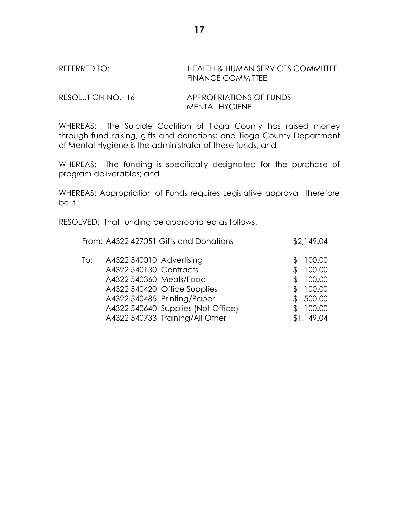### REFERRED TO: HEALTH & HUMAN SERVICES COMMITTEE FINANCE COMMITTEE

RESOLUTION NO. -16 APPROPRIATIONS OF FUNDS MENTAL HYGIENE

WHEREAS: The Suicide Coalition of Tioga County has raised money through fund raising, gifts and donations; and Tioga County Department of Mental Hygiene is the administrator of these funds; and

WHEREAS: The funding is specifically designated for the purchase of program deliverables; and

WHEREAS: Appropriation of Funds requires Legislative approval; therefore be it

RESOLVED: That funding be appropriated as follows:

|     |                                                                               | From: A4322 427051 Gifts and Donations                                                                                               | \$2,149.04                                                             |
|-----|-------------------------------------------------------------------------------|--------------------------------------------------------------------------------------------------------------------------------------|------------------------------------------------------------------------|
| To: | A4322 540010 Advertising<br>A4322 540130 Contracts<br>A4322 540360 Meals/Food | A4322 540420 Office Supplies<br>A4322 540485 Printing/Paper<br>A4322 540640 Supplies (Not Office)<br>A4322 540733 Training/All Other | 100.00<br>100.00<br>100.00<br>100.00<br>500.00<br>100.00<br>\$1,149.04 |
|     |                                                                               |                                                                                                                                      |                                                                        |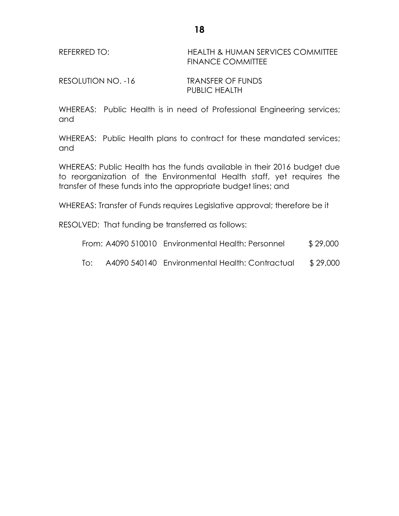REFERRED TO: HEALTH & HUMAN SERVICES COMMITTEE FINANCE COMMITTEE

RESOLUTION NO. -16 TRANSFER OF FUNDS PUBLIC HEALTH

WHEREAS: Public Health is in need of Professional Engineering services; and

WHEREAS: Public Health plans to contract for these mandated services; and

WHEREAS: Public Health has the funds available in their 2016 budget due to reorganization of the Environmental Health staff, yet requires the transfer of these funds into the appropriate budget lines; and

WHEREAS: Transfer of Funds requires Legislative approval; therefore be it

RESOLVED: That funding be transferred as follows:

|     | From: A4090 510010 Environmental Health: Personnel | \$29,000 |
|-----|----------------------------------------------------|----------|
| To: | A4090 540140 Environmental Health: Contractual     | \$29,000 |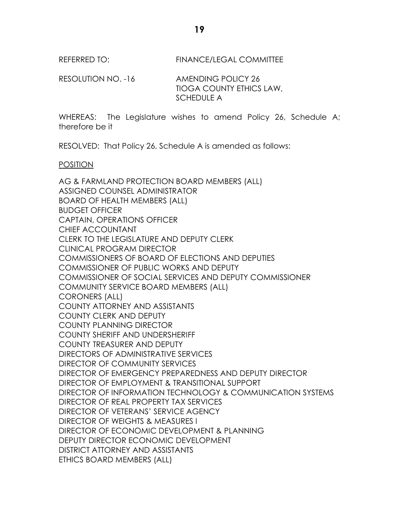REFERRED TO: FINANCE/LEGAL COMMITTEE

RESOLUTION NO. -16 AMENDING POLICY 26 TIOGA COUNTY ETHICS LAW, SCHEDULE A

WHEREAS: The Legislature wishes to amend Policy 26, Schedule A; therefore be it

RESOLVED: That Policy 26, Schedule A is amended as follows:

### POSITION

AG & FARMLAND PROTECTION BOARD MEMBERS (ALL) ASSIGNED COUNSEL ADMINISTRATOR BOARD OF HEALTH MEMBERS (ALL) BUDGET OFFICER CAPTAIN, OPERATIONS OFFICER CHIEF ACCOUNTANT CLERK TO THE LEGISLATURE AND DEPUTY CLERK CLINICAL PROGRAM DIRECTOR COMMISSIONERS OF BOARD OF ELECTIONS AND DEPUTIES COMMISSIONER OF PUBLIC WORKS AND DEPUTY COMMISSIONER OF SOCIAL SERVICES AND DEPUTY COMMISSIONER COMMUNITY SERVICE BOARD MEMBERS (ALL) CORONERS (ALL) COUNTY ATTORNEY AND ASSISTANTS COUNTY CLERK AND DEPUTY COUNTY PLANNING DIRECTOR COUNTY SHERIFF AND UNDERSHERIFF COUNTY TREASURER AND DEPUTY DIRECTORS OF ADMINISTRATIVE SERVICES DIRECTOR OF COMMUNITY SERVICES DIRECTOR OF EMERGENCY PREPAREDNESS AND DEPUTY DIRECTOR DIRECTOR OF EMPLOYMENT & TRANSITIONAL SUPPORT DIRECTOR OF INFORMATION TECHNOLOGY & COMMUNICATION SYSTEMS DIRECTOR OF REAL PROPERTY TAX SERVICES DIRECTOR OF VETERANS' SERVICE AGENCY DIRECTOR OF WEIGHTS & MEASURES I DIRECTOR OF ECONOMIC DEVELOPMENT & PLANNING DEPUTY DIRECTOR ECONOMIC DEVELOPMENT DISTRICT ATTORNEY AND ASSISTANTS ETHICS BOARD MEMBERS (ALL)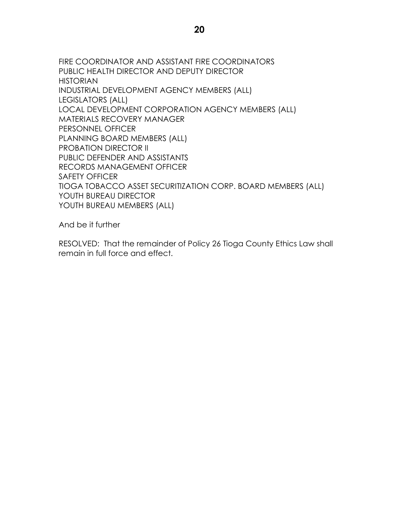FIRE COORDINATOR AND ASSISTANT FIRE COORDINATORS PUBLIC HEALTH DIRECTOR AND DEPUTY DIRECTOR HISTORIAN INDUSTRIAL DEVELOPMENT AGENCY MEMBERS (ALL) LEGISLATORS (ALL) LOCAL DEVELOPMENT CORPORATION AGENCY MEMBERS (ALL) MATERIALS RECOVERY MANAGER PERSONNEL OFFICER PLANNING BOARD MEMBERS (ALL) PROBATION DIRECTOR II PUBLIC DEFENDER AND ASSISTANTS RECORDS MANAGEMENT OFFICER SAFETY OFFICER TIOGA TOBACCO ASSET SECURITIZATION CORP. BOARD MEMBERS (ALL) YOUTH BUREAU DIRECTOR YOUTH BUREAU MEMBERS (ALL)

And be it further

RESOLVED: That the remainder of Policy 26 Tioga County Ethics Law shall remain in full force and effect.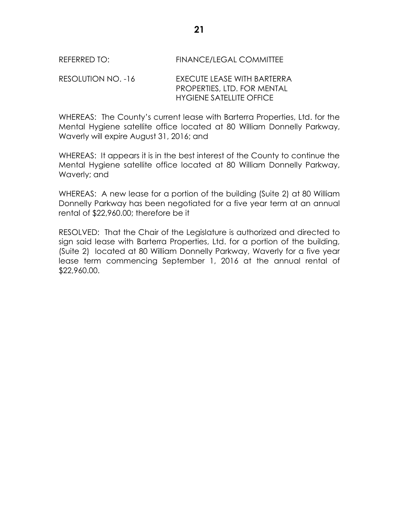# REFERRED TO: FINANCE/LEGAL COMMITTEE

## RESOLUTION NO. -16 EXECUTE LEASE WITH BARTERRA PROPERTIES, LTD. FOR MENTAL HYGIENE SATELLITE OFFICE

WHEREAS: The County's current lease with Barterra Properties, Ltd. for the Mental Hygiene satellite office located at 80 William Donnelly Parkway, Waverly will expire August 31, 2016; and

WHEREAS: It appears it is in the best interest of the County to continue the Mental Hygiene satellite office located at 80 William Donnelly Parkway, Waverly; and

WHEREAS: A new lease for a portion of the building (Suite 2) at 80 William Donnelly Parkway has been negotiated for a five year term at an annual rental of \$22,960.00; therefore be it

RESOLVED: That the Chair of the Legislature is authorized and directed to sign said lease with Barterra Properties, Ltd. for a portion of the building, (Suite 2) located at 80 William Donnelly Parkway, Waverly for a five year lease term commencing September 1, 2016 at the annual rental of \$22,960.00.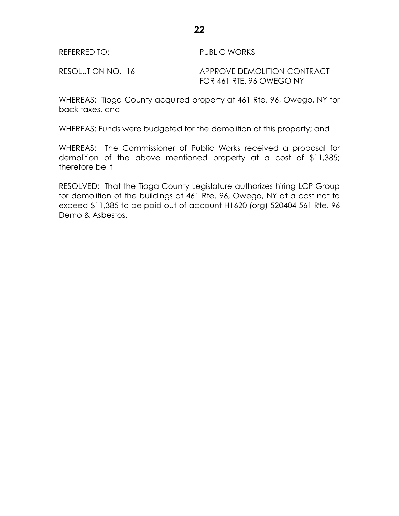REFERRED TO: PUBLIC WORKS

RESOLUTION NO. -16 APPROVE DEMOLITION CONTRACT FOR 461 RTE. 96 OWEGO NY

WHEREAS: Tioga County acquired property at 461 Rte. 96, Owego, NY for back taxes, and

WHEREAS: Funds were budgeted for the demolition of this property; and

WHEREAS: The Commissioner of Public Works received a proposal for demolition of the above mentioned property at a cost of \$11,385; therefore be it

RESOLVED: That the Tioga County Legislature authorizes hiring LCP Group for demolition of the buildings at 461 Rte. 96, Owego, NY at a cost not to exceed \$11,385 to be paid out of account H1620 (org) 520404 561 Rte. 96 Demo & Asbestos.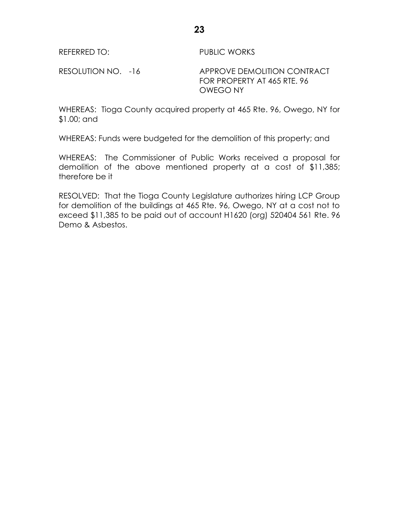REFERRED TO: PUBLIC WORKS

RESOLUTION NO. -16 APPROVE DEMOLITION CONTRACT FOR PROPERTY AT 465 RTE. 96 OWEGO NY

WHEREAS: Tioga County acquired property at 465 Rte. 96, Owego, NY for \$1.00; and

WHEREAS: Funds were budgeted for the demolition of this property; and

WHEREAS: The Commissioner of Public Works received a proposal for demolition of the above mentioned property at a cost of \$11,385; therefore be it

RESOLVED: That the Tioga County Legislature authorizes hiring LCP Group for demolition of the buildings at 465 Rte. 96, Owego, NY at a cost not to exceed \$11,385 to be paid out of account H1620 (org) 520404 561 Rte. 96 Demo & Asbestos.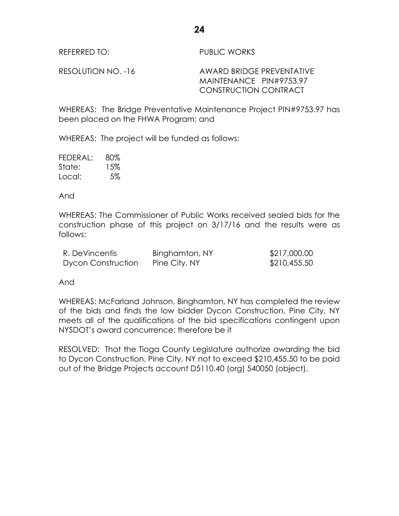REFERRED TO: PUBLIC WORKS

RESOLUTION NO. -16 AWARD BRIDGE PREVENTATIVE MAINTENANCE PIN#9753.97 CONSTRUCTION CONTRACT

WHEREAS: The Bridge Preventative Maintenance Project PIN#9753.97 has been placed on the FHWA Program; and

WHEREAS: The project will be funded as follows:

| FEDERAL: | 80% |
|----------|-----|
| State:   | 15% |
| Local:   | 5%  |

And

WHEREAS: The Commissioner of Public Works received sealed bids for the construction phase of this project on 3/17/16 and the results were as follows:

| R. DeVincentis            | Binghamton, NY | \$217,000.00 |
|---------------------------|----------------|--------------|
| <b>Dycon Construction</b> | Pine City, NY  | \$210,455.50 |

And

WHEREAS: McFarland Johnson, Binghamton, NY has completed the review of the bids and finds the low bidder Dycon Construction, Pine City, NY meets all of the qualifications of the bid specifications contingent upon NYSDOT's award concurrence; therefore be it

RESOLVED: That the Tioga County Legislature authorize awarding the bid to Dycon Construction, Pine City, NY not to exceed \$210,455.50 to be paid out of the Bridge Projects account D5110.40 (org) 540050 (object).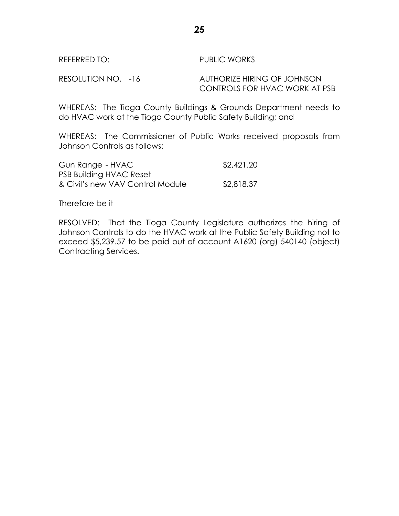WHEREAS: The Tioga County Buildings & Grounds Department needs to do HVAC work at the Tioga County Public Safety Building; and

WHEREAS: The Commissioner of Public Works received proposals from Johnson Controls as follows:

| Gun Range - HVAC                 | \$2,421.20 |
|----------------------------------|------------|
| <b>PSB Building HVAC Reset</b>   |            |
| & Civil's new VAV Control Module | \$2,818.37 |

Therefore be it

RESOLVED: That the Tioga County Legislature authorizes the hiring of Johnson Controls to do the HVAC work at the Public Safety Building not to exceed \$5,239.57 to be paid out of account A1620 (org) 540140 (object) Contracting Services.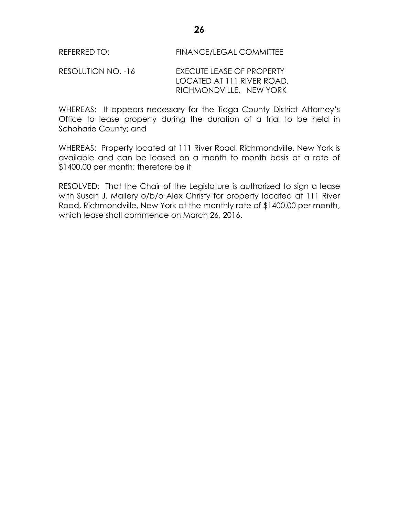RESOLUTION NO. -16 EXECUTE LEASE OF PROPERTY LOCATED AT 111 RIVER ROAD, RICHMONDVILLE, NEW YORK

WHEREAS: It appears necessary for the Tioga County District Attorney's Office to lease property during the duration of a trial to be held in Schoharie County; and

WHEREAS: Property located at 111 River Road, Richmondville, New York is available and can be leased on a month to month basis at a rate of \$1400.00 per month; therefore be it

RESOLVED: That the Chair of the Legislature is authorized to sign a lease with Susan J. Mallery o/b/o Alex Christy for property located at 111 River Road, Richmondville, New York at the monthly rate of \$1400.00 per month, which lease shall commence on March 26, 2016.